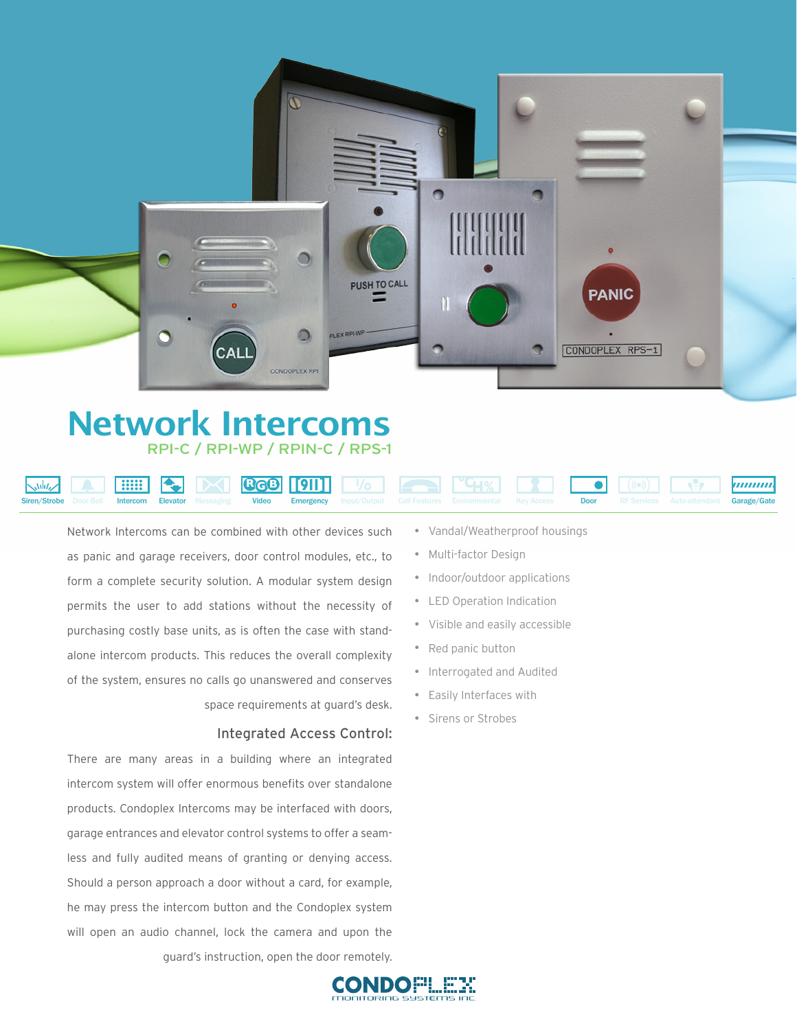

## Network Intercoms RPI-C / RPI-WP / RPIN-C / RPS-1

#### **Supporting: R G B [911] ºCH%** ,,,,,,,,,, عبابد Remote Central Station Monitoring Internal Building Messaging SMS Text Messaging Siren/Strobe Door-Bell Intercom Elevator Messaging Video Emergency Input/Output Call-Features Environmental Key-Access Door RF-Services Auto-attendant Garage/Gate Elevator Messaging Video **Emergency**

Network Intercoms can be combined with other devices such as panic and garage receivers, door control modules, etc., to form a complete security solution. A modular system design permits the user to add stations without the necessity of purchasing costly base units, as is often the case with standalone intercom products. This reduces the overall complexity of the system, ensures no calls go unanswered and conserves space requirements at guard's desk.

#### Integrated Access Control:

There are many areas in a building where an integrated intercom system will offer enormous benefits over standalone products. Condoplex Intercoms may be interfaced with doors, garage entrances and elevator control systems to offer a seamless and fully audited means of granting or denying access. Should a person approach a door without a card, for example, he may press the intercom button and the Condoplex system will open an audio channel, lock the camera and upon the guard's instruction, open the door remotely. • Vandal/Weatherproof housings

Remote Diagnostics and Repair

Audio Server Supporting

Email Services

- Multi-factor Design
- Indoor/outdoor applications
- **LED Operation Indication**
- Visible and easily accessible
- Red panic button
- Interrogated and Audited
- Easily Interfaces with
- Sirens or Strobes